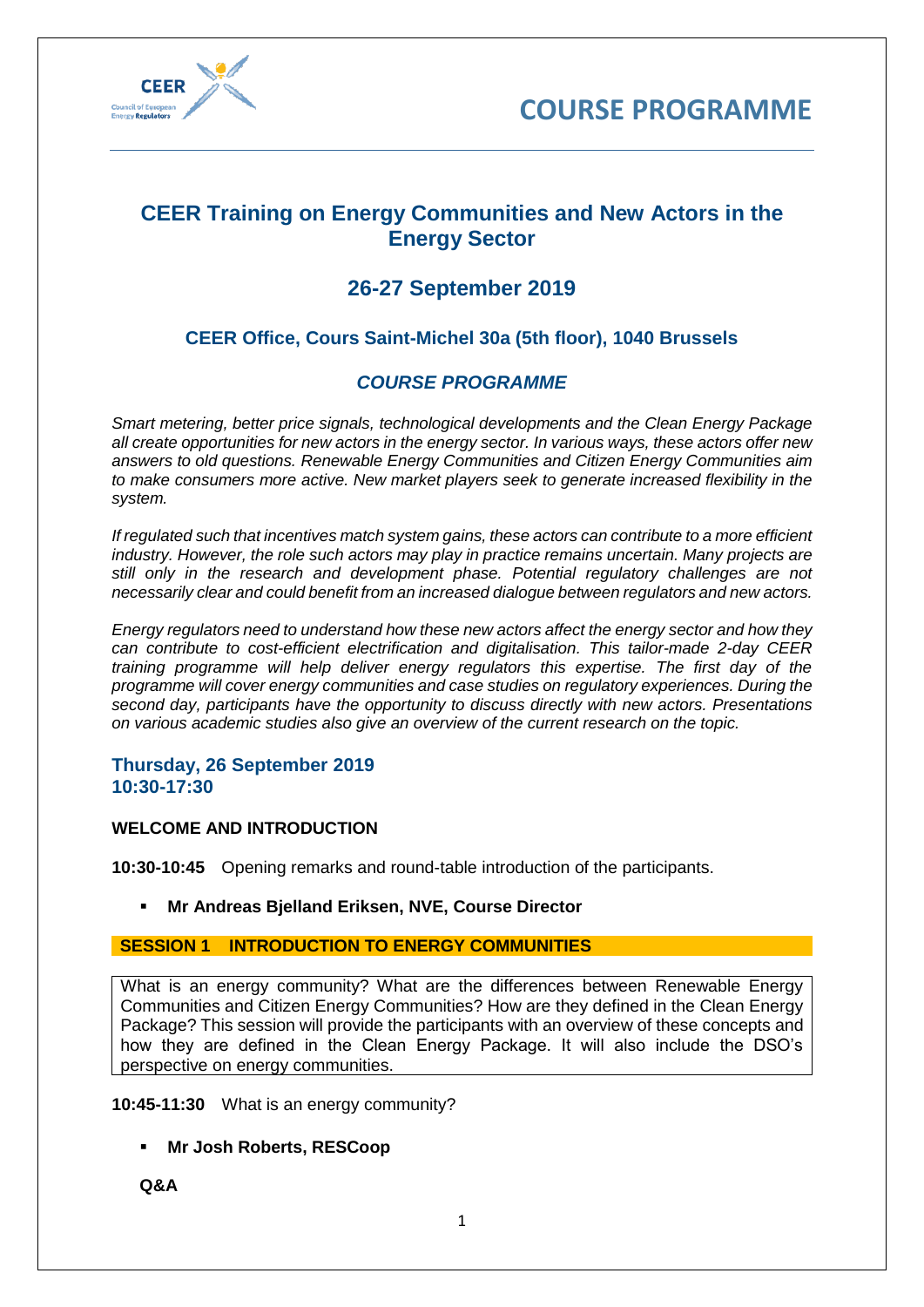



# **CEER Training on Energy Communities and New Actors in the Energy Sector**

# **26-27 September 2019**

# **CEER Office, Cours Saint-Michel 30a (5th floor), 1040 Brussels**

## *COURSE PROGRAMME*

*Smart metering, better price signals, technological developments and the Clean Energy Package all create opportunities for new actors in the energy sector. In various ways, these actors offer new answers to old questions. Renewable Energy Communities and Citizen Energy Communities aim to make consumers more active. New market players seek to generate increased flexibility in the system.*

*If regulated such that incentives match system gains, these actors can contribute to a more efficient industry. However, the role such actors may play in practice remains uncertain. Many projects are still only in the research and development phase. Potential regulatory challenges are not necessarily clear and could benefit from an increased dialogue between regulators and new actors.*

*Energy regulators need to understand how these new actors affect the energy sector and how they can contribute to cost-efficient electrification and digitalisation. This tailor-made 2-day CEER training programme will help deliver energy regulators this expertise. The first day of the programme will cover energy communities and case studies on regulatory experiences. During the second day, participants have the opportunity to discuss directly with new actors. Presentations on various academic studies also give an overview of the current research on the topic.*

#### **Thursday, 26 September 2019 10:30-17:30**

### **WELCOME AND INTRODUCTION**

**10:30-10:45** Opening remarks and round-table introduction of the participants.

**Mr Andreas Bjelland Eriksen, NVE, Course Director** 

### **SESSION 1 INTRODUCTION TO ENERGY COMMUNITIES**

What is an energy community? What are the differences between Renewable Energy Communities and Citizen Energy Communities? How are they defined in the Clean Energy Package? This session will provide the participants with an overview of these concepts and how they are defined in the Clean Energy Package. It will also include the DSO's perspective on energy communities.

**10:45-11:30** What is an energy community?

▪ **Mr Josh Roberts, RESCoop**

**Q&A**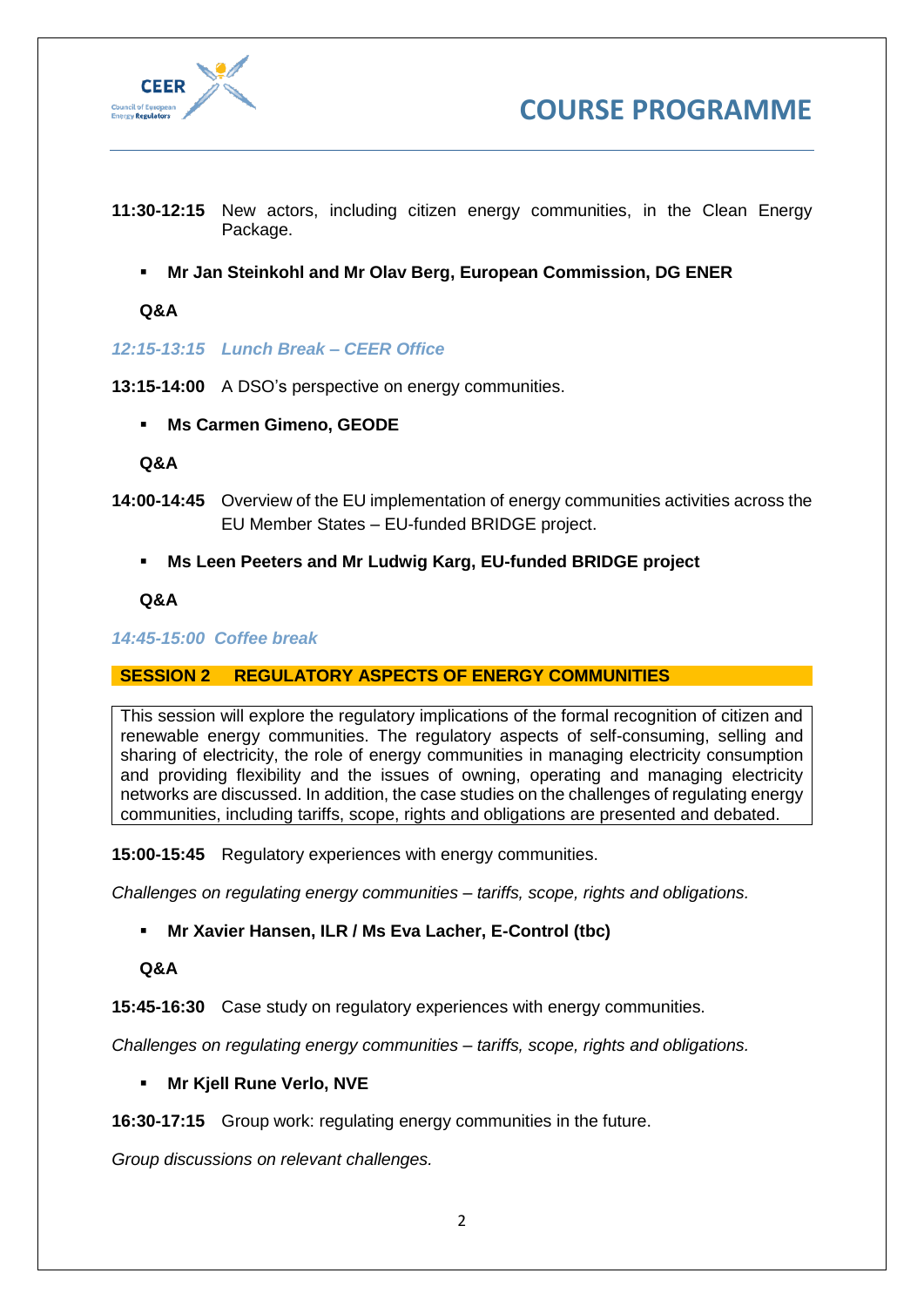



- **11:30-12:15** New actors, including citizen energy communities, in the Clean Energy Package.
	- **Mr Jan Steinkohl and Mr Olav Berg, European Commission, DG ENER**

**Q&A**

*12:15-13:15 Lunch Break – CEER Office*

**13:15-14:00** A DSO's perspective on energy communities.

▪ **Ms Carmen Gimeno, GEODE**

**Q&A**

- **14:00-14:45** Overview of the EU implementation of energy communities activities across the EU Member States – EU-funded BRIDGE project.
	- **Ms Leen Peeters and Mr Ludwig Karg, EU-funded BRIDGE project**

**Q&A**

*14:45-15:00 Coffee break*

### **SESSION 2 REGULATORY ASPECTS OF ENERGY COMMUNITIES**

This session will explore the regulatory implications of the formal recognition of citizen and renewable energy communities. The regulatory aspects of self-consuming, selling and sharing of electricity, the role of energy communities in managing electricity consumption and providing flexibility and the issues of owning, operating and managing electricity networks are discussed. In addition, the case studies on the challenges of regulating energy communities, including tariffs, scope, rights and obligations are presented and debated.

**15:00-15:45** Regulatory experiences with energy communities.

*Challenges on regulating energy communities – tariffs, scope, rights and obligations.*

▪ **Mr Xavier Hansen, ILR / Ms Eva Lacher, E-Control (tbc)**

**Q&A**

**15:45-16:30** Case study on regulatory experiences with energy communities.

*Challenges on regulating energy communities – tariffs, scope, rights and obligations.*

#### ▪ **Mr Kjell Rune Verlo, NVE**

**16:30-17:15** Group work: regulating energy communities in the future.

*Group discussions on relevant challenges.*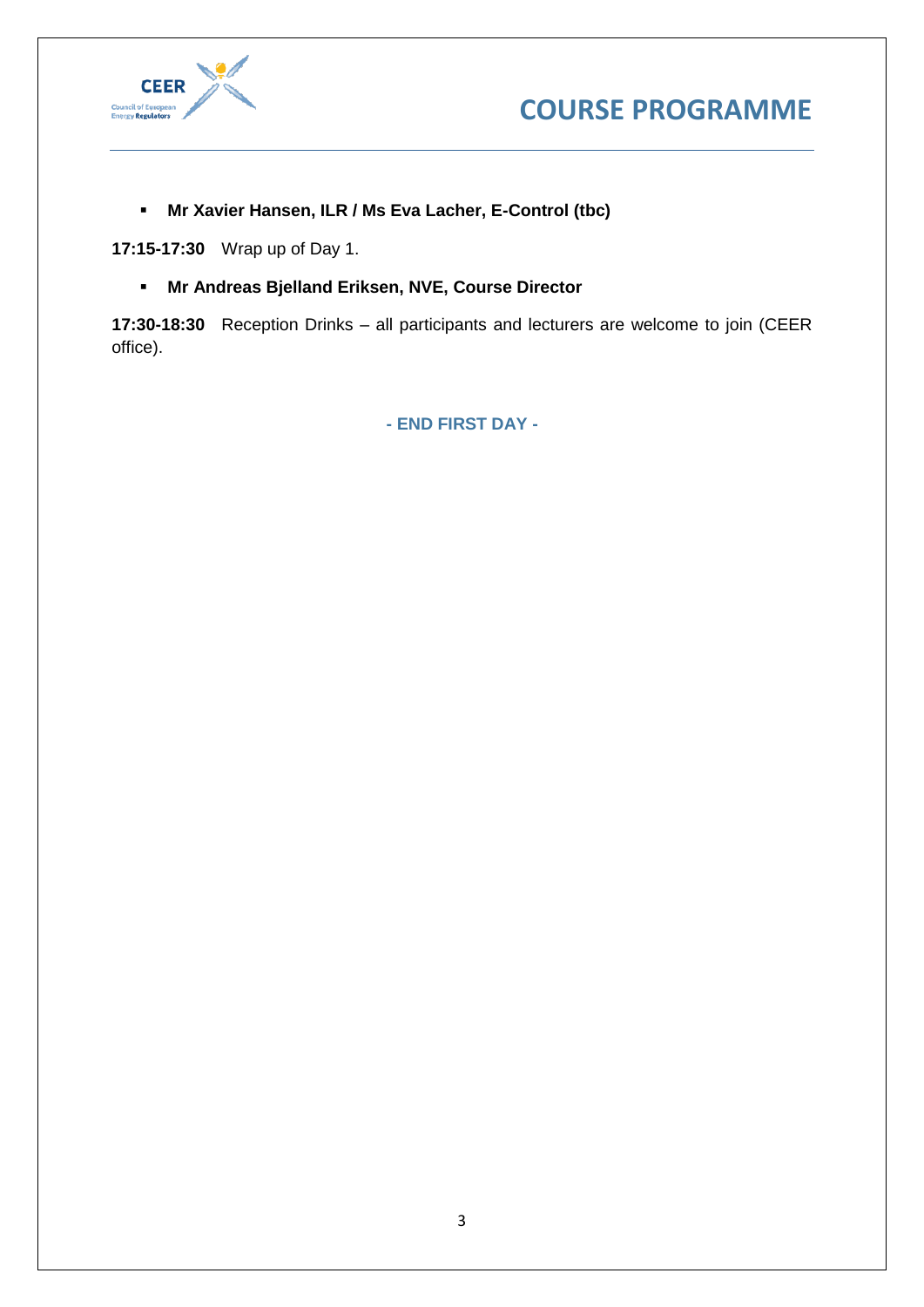



▪ **Mr Xavier Hansen, ILR / Ms Eva Lacher, E-Control (tbc)**

**17:15-17:30** Wrap up of Day 1.

▪ **Mr Andreas Bjelland Eriksen, NVE, Course Director**

**17:30-18:30** Reception Drinks – all participants and lecturers are welcome to join (CEER office).

**- END FIRST DAY -**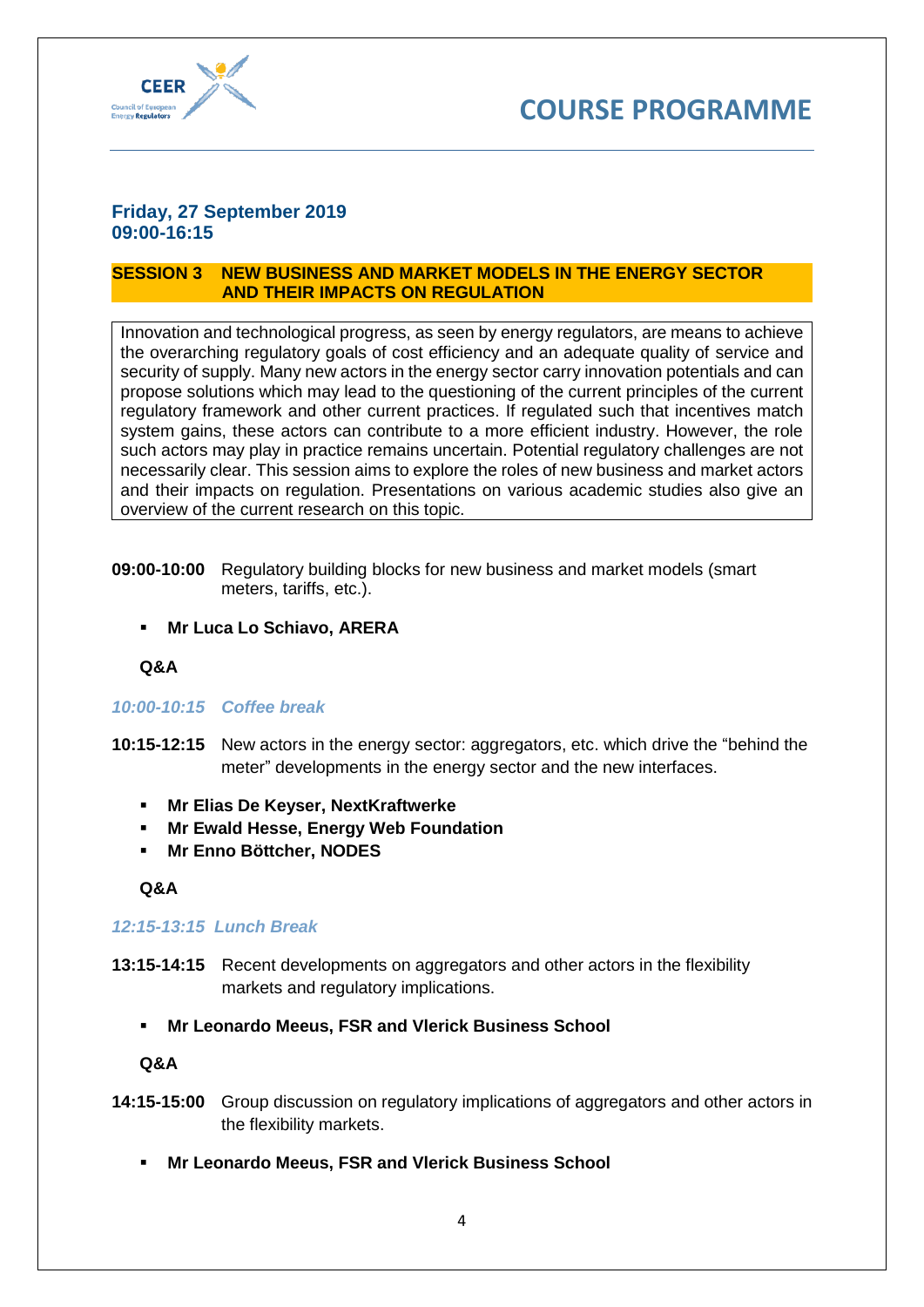



## **Friday, 27 September 2019 09:00-16:15**

### **SESSION 3 NEW BUSINESS AND MARKET MODELS IN THE ENERGY SECTOR AND THEIR IMPACTS ON REGULATION**

Innovation and technological progress, as seen by energy regulators, are means to achieve the overarching regulatory goals of cost efficiency and an adequate quality of service and security of supply. Many new actors in the energy sector carry innovation potentials and can propose solutions which may lead to the questioning of the current principles of the current regulatory framework and other current practices. If regulated such that incentives match system gains, these actors can contribute to a more efficient industry. However, the role such actors may play in practice remains uncertain. Potential regulatory challenges are not necessarily clear. This session aims to explore the roles of new business and market actors and their impacts on regulation. Presentations on various academic studies also give an overview of the current research on this topic.

- **09:00-10:00** Regulatory building blocks for new business and market models (smart meters, tariffs, etc.).
	- **Mr Luca Lo Schiavo, ARERA**

**Q&A**

### *10:00-10:15 Coffee break*

- **10:15-12:15** New actors in the energy sector: aggregators, etc. which drive the "behind the meter" developments in the energy sector and the new interfaces.
	- **Mr Elias De Keyser, NextKraftwerke**
	- **Mr Ewald Hesse, Energy Web Foundation**
	- **Mr Enno Böttcher, NODES**

**Q&A**

#### *12:15-13:15 Lunch Break*

- **13:15-14:15** Recent developments on aggregators and other actors in the flexibility markets and regulatory implications.
	- **Mr Leonardo Meeus, FSR and Vlerick Business School**

**Q&A**

- **14:15-15:00** Group discussion on regulatory implications of aggregators and other actors in the flexibility markets.
	- **Mr Leonardo Meeus, FSR and Vlerick Business School**